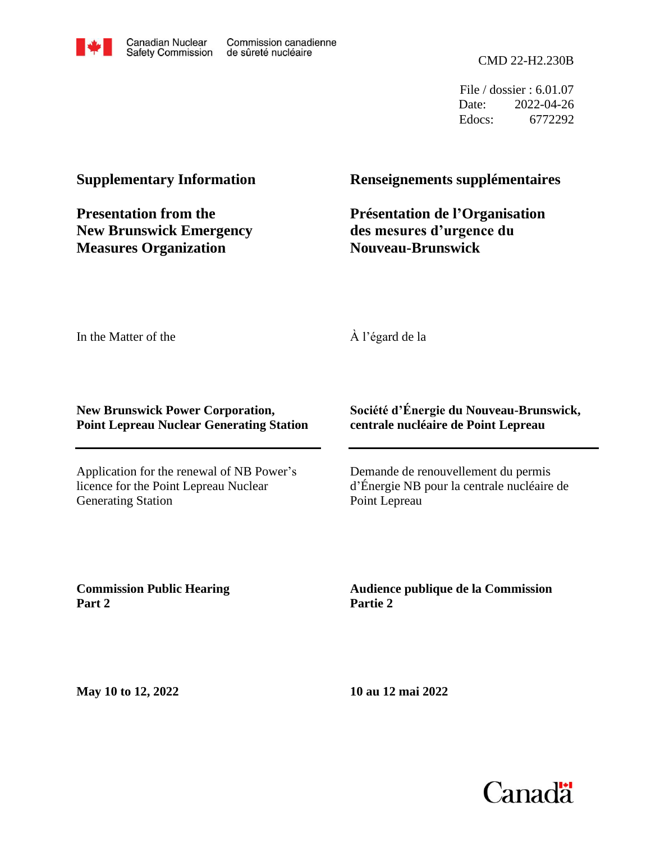

CMD 22-H2.230B

File / dossier : 6.01.07 Date: 2022-04-26 Edocs: 6772292

#### **Supplementary Information**

**Presentation from the New Brunswick Emergency Measures Organization**

#### **Renseignements supplémentaires**

#### **Présentation de l'Organisation des mesures d'urgence du Nouveau-Brunswick**

In the Matter of the

#### À l'égard de la

#### **New Brunswick Power Corporation, Point Lepreau Nuclear Generating Station**

Application for the renewal of NB Power's licence for the Point Lepreau Nuclear Generating Station

#### **Société d'Énergie du Nouveau-Brunswick, centrale nucléaire de Point Lepreau**

Demande de renouvellement du permis d'Énergie NB pour la centrale nucléaire de Point Lepreau

**Commission Public Hearing Part 2**

**Audience publique de la Commission Partie 2**

**May 10 to 12, 2022**

**10 au 12 mai 2022**

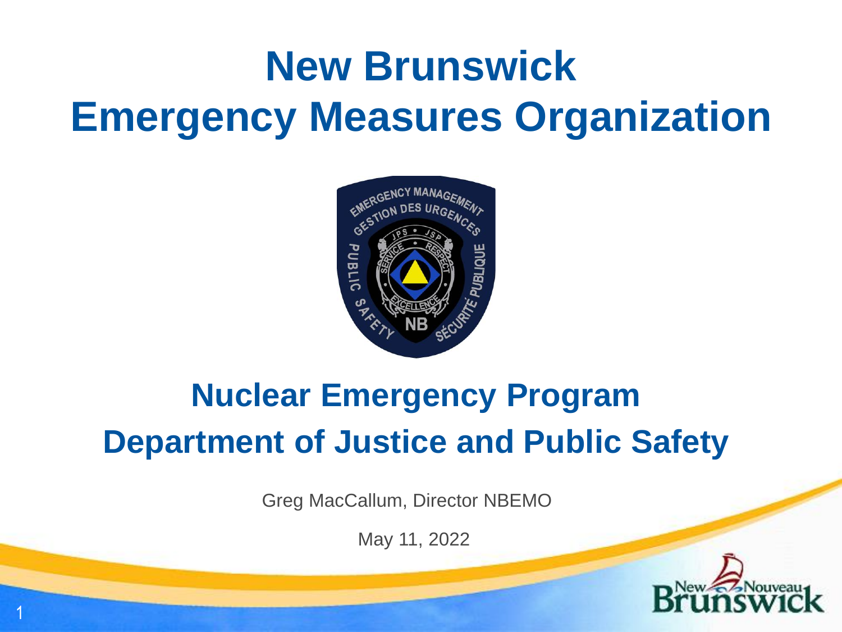# **New Brunswick Emergency Measures Organization**



### **Nuclear Emergency Program Department of Justice and Public Safety**

Greg MacCallum, Director NBEMO

May 11, 2022

1

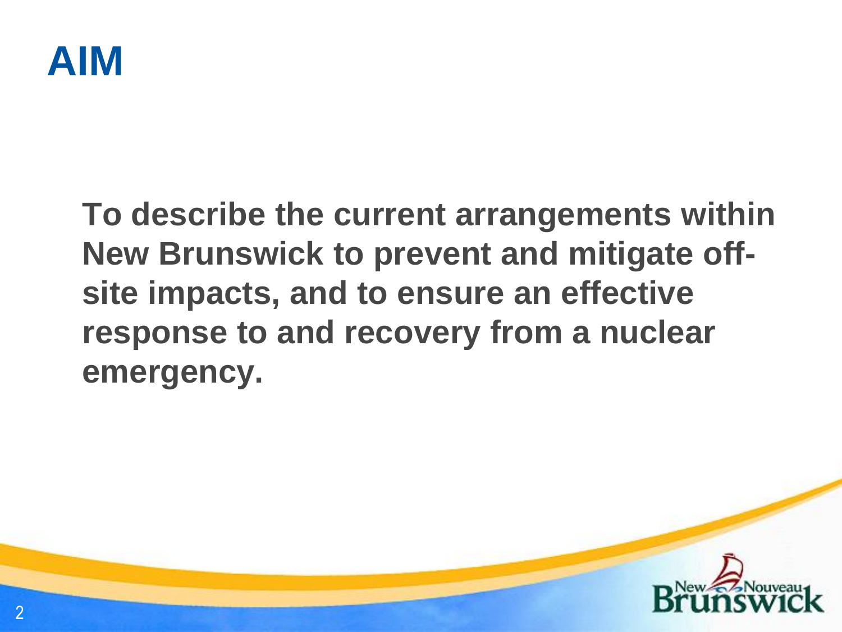

### **To describe the current arrangements within New Brunswick to prevent and mitigate offsite impacts, and to ensure an effective response to and recovery from a nuclear emergency.**

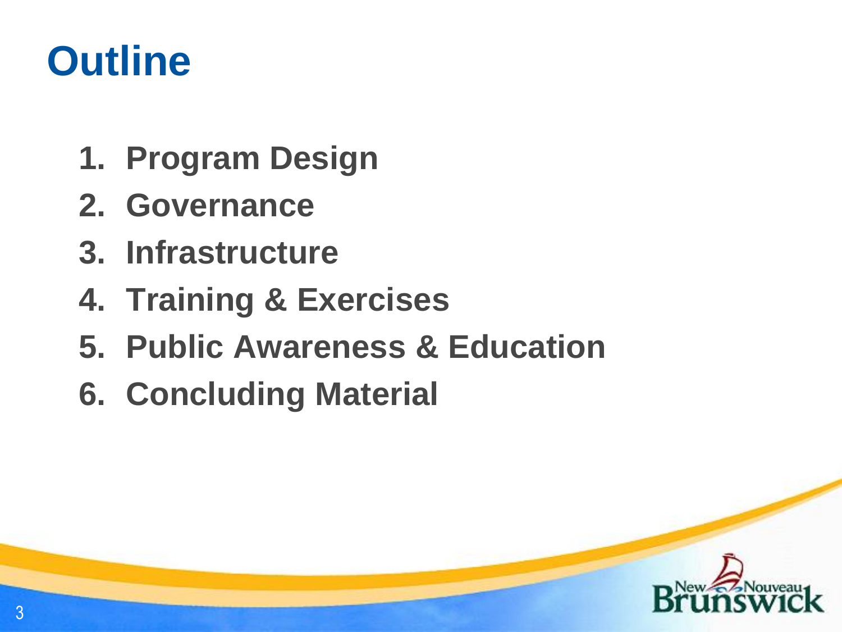## **Outline**

- **1. Program Design**
- **2. Governance**
- **3. Infrastructure**
- **4. Training & Exercises**
- **5. Public Awareness & Education**
- **6. Concluding Material**

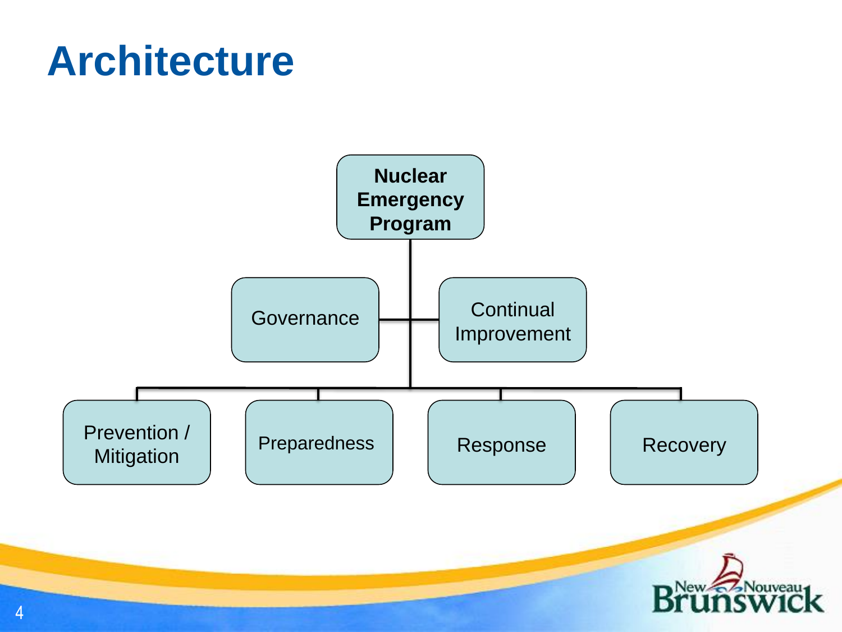## **Architecture**

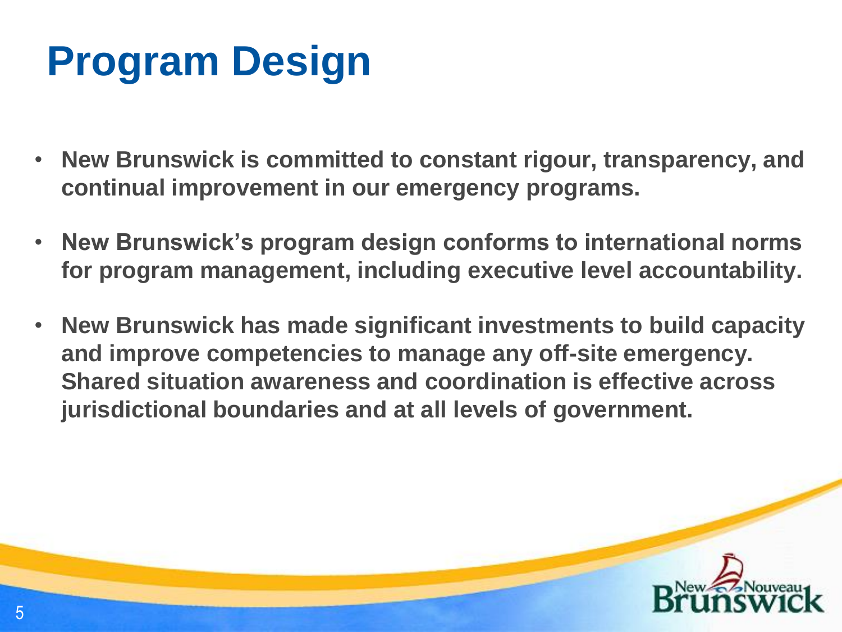# **Program Design**

- **New Brunswick is committed to constant rigour, transparency, and continual improvement in our emergency programs.**
- **New Brunswick's program design conforms to international norms for program management, including executive level accountability.**
- **New Brunswick has made significant investments to build capacity and improve competencies to manage any off-site emergency. Shared situation awareness and coordination is effective across jurisdictional boundaries and at all levels of government.**

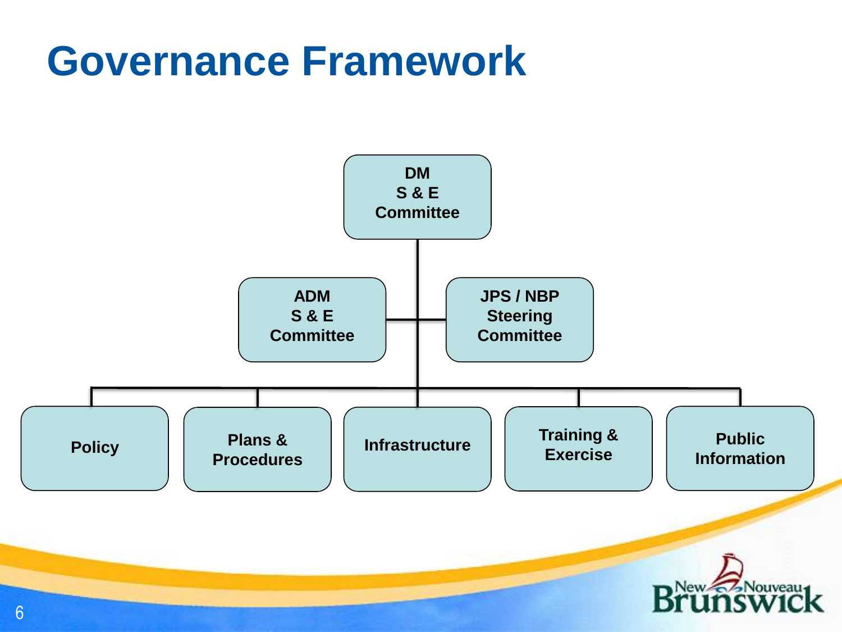## **Governance Framework**

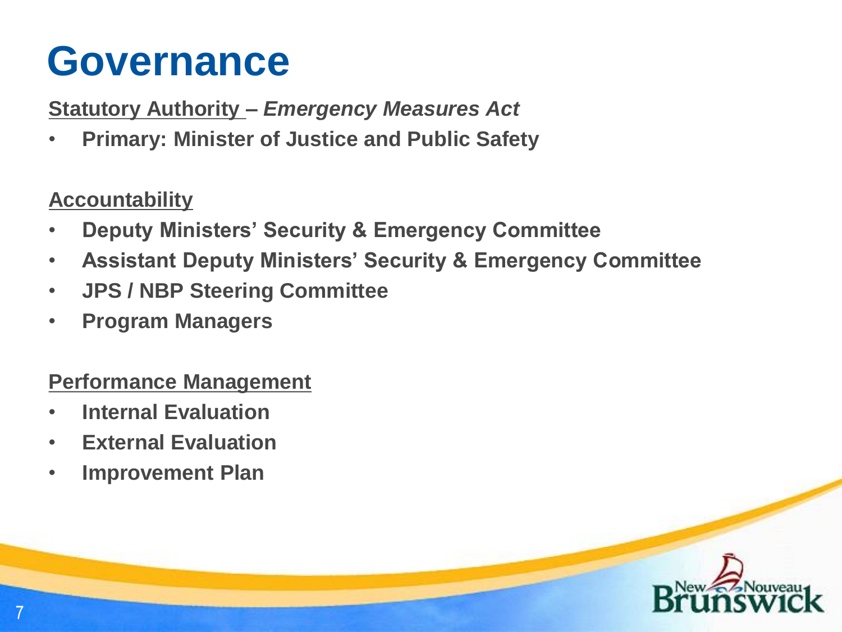## **Governance**

**Statutory Authority –** *Emergency Measures Act*

• **Primary: Minister of Justice and Public Safety**

### **Accountability**

- **Deputy Ministers' Security & Emergency Committee**
- **Assistant Deputy Ministers' Security & Emergency Committee**
- **JPS / NBP Steering Committee**
- **Program Managers**

### **Performance Management**

- **Internal Evaluation**
- **External Evaluation**
- **Improvement Plan**

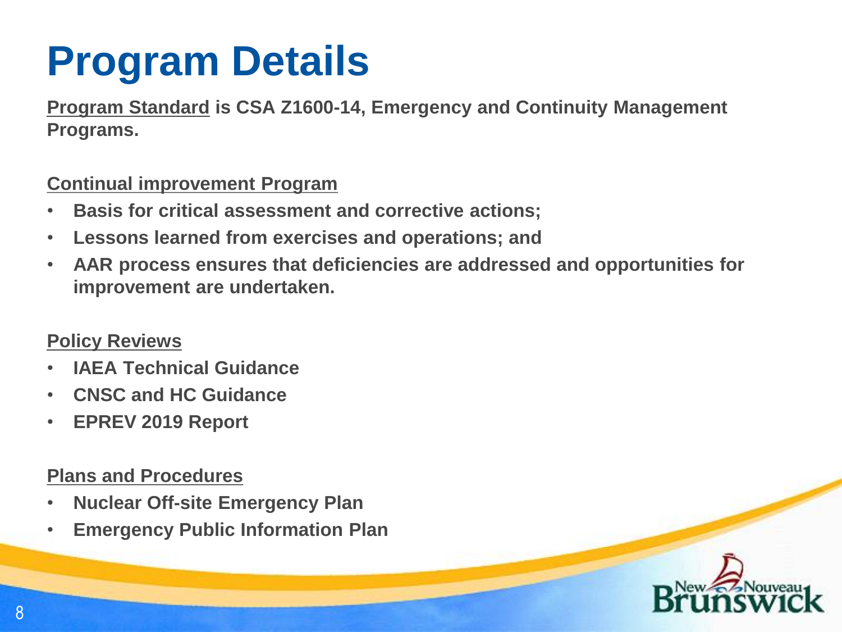# **Program Details**

**Program Standard is CSA Z1600-14, Emergency and Continuity Management Programs.**

#### **Continual improvement Program**

- **Basis for critical assessment and corrective actions;**
- **Lessons learned from exercises and operations; and**
- **AAR process ensures that deficiencies are addressed and opportunities for improvement are undertaken.**

### **Policy Reviews**

- **IAEA Technical Guidance**
- **CNSC and HC Guidance**
- **EPREV 2019 Report**

### **Plans and Procedures**

- **Nuclear Off-site Emergency Plan**
- **Emergency Public Information Plan**

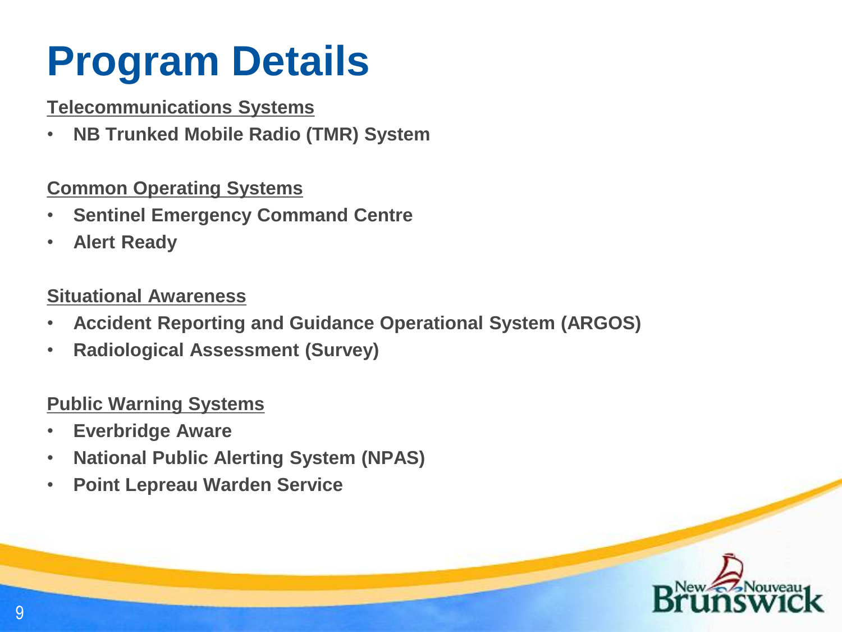# **Program Details**

### **Telecommunications Systems**

• **NB Trunked Mobile Radio (TMR) System** 

### **Common Operating Systems**

- **Sentinel Emergency Command Centre**
- **Alert Ready**

### **Situational Awareness**

- **Accident Reporting and Guidance Operational System (ARGOS)**
- **Radiological Assessment (Survey)**

### **Public Warning Systems**

- **Everbridge Aware**
- **National Public Alerting System (NPAS)**
- **Point Lepreau Warden Service**

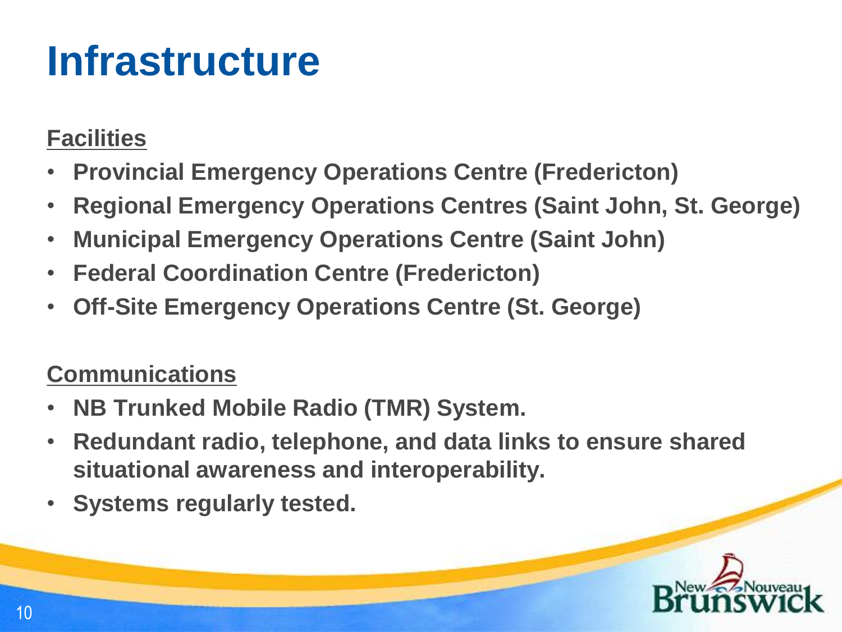## **Infrastructure**

### **Facilities**

- **Provincial Emergency Operations Centre (Fredericton)**
- **Regional Emergency Operations Centres (Saint John, St. George)**
- **Municipal Emergency Operations Centre (Saint John)**
- **Federal Coordination Centre (Fredericton)**
- **Off-Site Emergency Operations Centre (St. George)**

### **Communications**

- **NB Trunked Mobile Radio (TMR) System.**
- **Redundant radio, telephone, and data links to ensure shared situational awareness and interoperability.**
- **Systems regularly tested.**

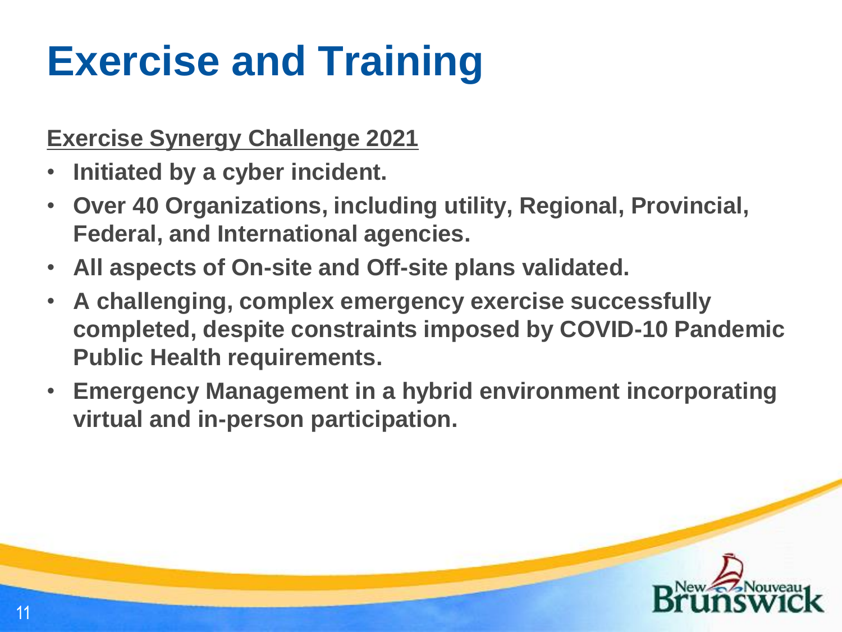# **Exercise and Training**

### **Exercise Synergy Challenge 2021**

- **Initiated by a cyber incident.**
- **Over 40 Organizations, including utility, Regional, Provincial, Federal, and International agencies.**
- **All aspects of On-site and Off-site plans validated.**
- **A challenging, complex emergency exercise successfully completed, despite constraints imposed by COVID-10 Pandemic Public Health requirements.**
- **Emergency Management in a hybrid environment incorporating virtual and in-person participation.**

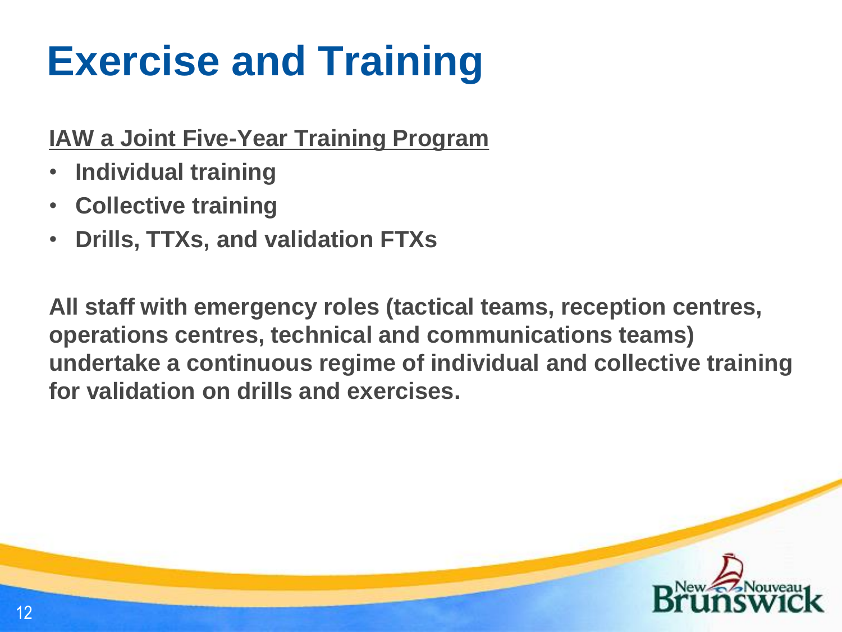# **Exercise and Training**

### **IAW a Joint Five-Year Training Program**

- **Individual training**
- **Collective training**
- **Drills, TTXs, and validation FTXs**

**All staff with emergency roles (tactical teams, reception centres, operations centres, technical and communications teams) undertake a continuous regime of individual and collective training for validation on drills and exercises.**

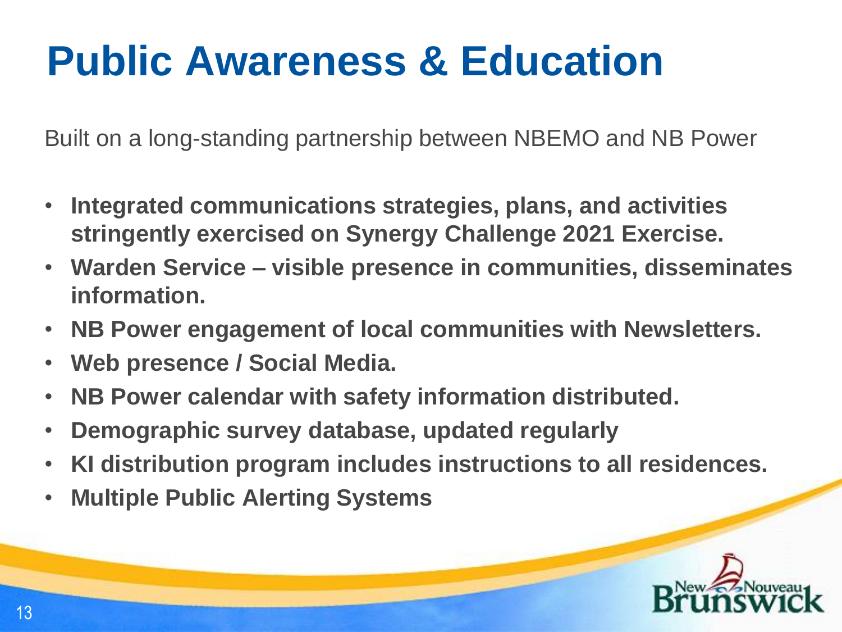# **Public Awareness & Education**

Built on a long-standing partnership between NBEMO and NB Power

- **Integrated communications strategies, plans, and activities stringently exercised on Synergy Challenge 2021 Exercise.**
- **Warden Service – visible presence in communities, disseminates information.**
- **NB Power engagement of local communities with Newsletters.**
- **Web presence / Social Media.**
- **NB Power calendar with safety information distributed.**
- **Demographic survey database, updated regularly**
- **KI distribution program includes instructions to all residences.**
- **Multiple Public Alerting Systems**

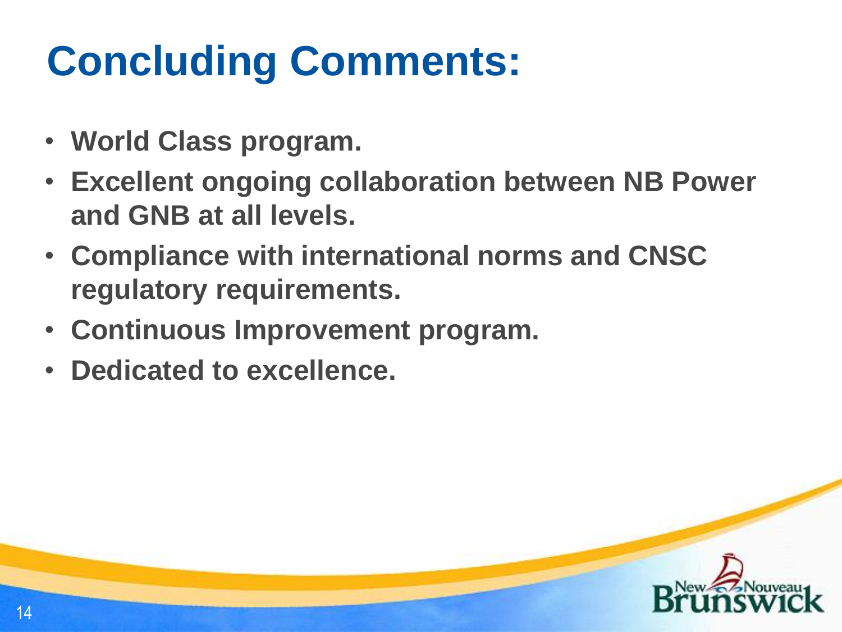# **Concluding Comments:**

- **World Class program.**
- **Excellent ongoing collaboration between NB Power and GNB at all levels.**
- **Compliance with international norms and CNSC regulatory requirements.**
- **Continuous Improvement program.**
- **Dedicated to excellence.**